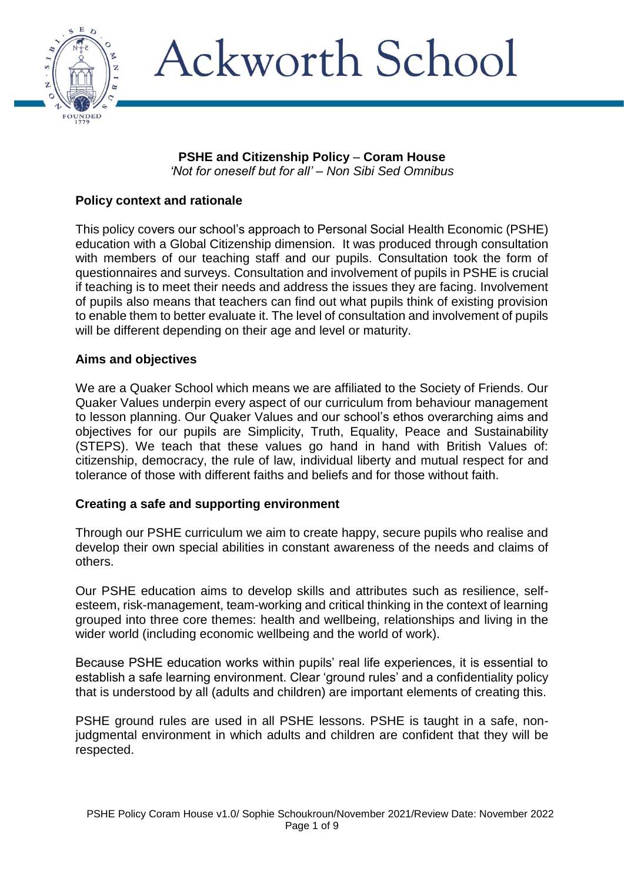

### **PSHE and Citizenship Policy** – **Coram House** *'Not for oneself but for all' – Non Sibi Sed Omnibus*

## **Policy context and rationale**

This policy covers our school's approach to Personal Social Health Economic (PSHE) education with a Global Citizenship dimension. It was produced through consultation with members of our teaching staff and our pupils. Consultation took the form of questionnaires and surveys. Consultation and involvement of pupils in PSHE is crucial if teaching is to meet their needs and address the issues they are facing. Involvement of pupils also means that teachers can find out what pupils think of existing provision to enable them to better evaluate it. The level of consultation and involvement of pupils will be different depending on their age and level or maturity.

## **Aims and objectives**

We are a Quaker School which means we are affiliated to the Society of Friends. Our Quaker Values underpin every aspect of our curriculum from behaviour management to lesson planning. Our Quaker Values and our school's ethos overarching aims and objectives for our pupils are Simplicity, Truth, Equality, Peace and Sustainability (STEPS). We teach that these values go hand in hand with British Values of: citizenship, democracy, the rule of law, individual liberty and mutual respect for and tolerance of those with different faiths and beliefs and for those without faith.

## **Creating a safe and supporting environment**

Through our PSHE curriculum we aim to create happy, secure pupils who realise and develop their own special abilities in constant awareness of the needs and claims of others.

Our PSHE education aims to develop skills and attributes such as resilience, selfesteem, risk-management, team-working and critical thinking in the context of learning grouped into three core themes: health and wellbeing, relationships and living in the wider world (including economic wellbeing and the world of work).

Because PSHE education works within pupils' real life experiences, it is essential to establish a safe learning environment. Clear 'ground rules' and a confidentiality policy that is understood by all (adults and children) are important elements of creating this.

PSHE ground rules are used in all PSHE lessons. PSHE is taught in a safe, nonjudgmental environment in which adults and children are confident that they will be respected.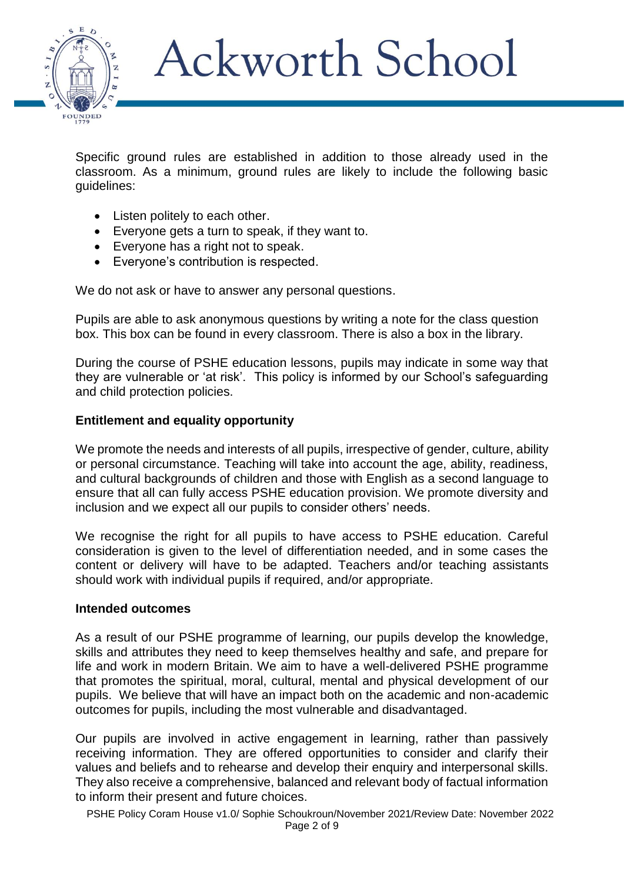

Specific ground rules are established in addition to those already used in the classroom. As a minimum, ground rules are likely to include the following basic guidelines:

- Listen politely to each other.
- Everyone gets a turn to speak, if they want to.
- Everyone has a right not to speak.
- Everyone's contribution is respected.

We do not ask or have to answer any personal questions.

Pupils are able to ask anonymous questions by writing a note for the class question box. This box can be found in every classroom. There is also a box in the library.

During the course of PSHE education lessons, pupils may indicate in some way that they are vulnerable or 'at risk'. This policy is informed by our School's safeguarding and child protection policies.

## **Entitlement and equality opportunity**

We promote the needs and interests of all pupils, irrespective of gender, culture, ability or personal circumstance. Teaching will take into account the age, ability, readiness, and cultural backgrounds of children and those with English as a second language to ensure that all can fully access PSHE education provision. We promote diversity and inclusion and we expect all our pupils to consider others' needs.

We recognise the right for all pupils to have access to PSHE education. Careful consideration is given to the level of differentiation needed, and in some cases the content or delivery will have to be adapted. Teachers and/or teaching assistants should work with individual pupils if required, and/or appropriate.

### **Intended outcomes**

As a result of our PSHE programme of learning, our pupils develop the knowledge, skills and attributes they need to keep themselves healthy and safe, and prepare for life and work in modern Britain. We aim to have a well-delivered PSHE programme that promotes the spiritual, moral, cultural, mental and physical development of our pupils. We believe that will have an impact both on the academic and non-academic outcomes for pupils, including the most vulnerable and disadvantaged.

Our pupils are involved in active engagement in learning, rather than passively receiving information. They are offered opportunities to consider and clarify their values and beliefs and to rehearse and develop their enquiry and interpersonal skills. They also receive a comprehensive, balanced and relevant body of factual information to inform their present and future choices.

PSHE Policy Coram House v1.0/ Sophie Schoukroun/November 2021/Review Date: November 2022 Page 2 of 9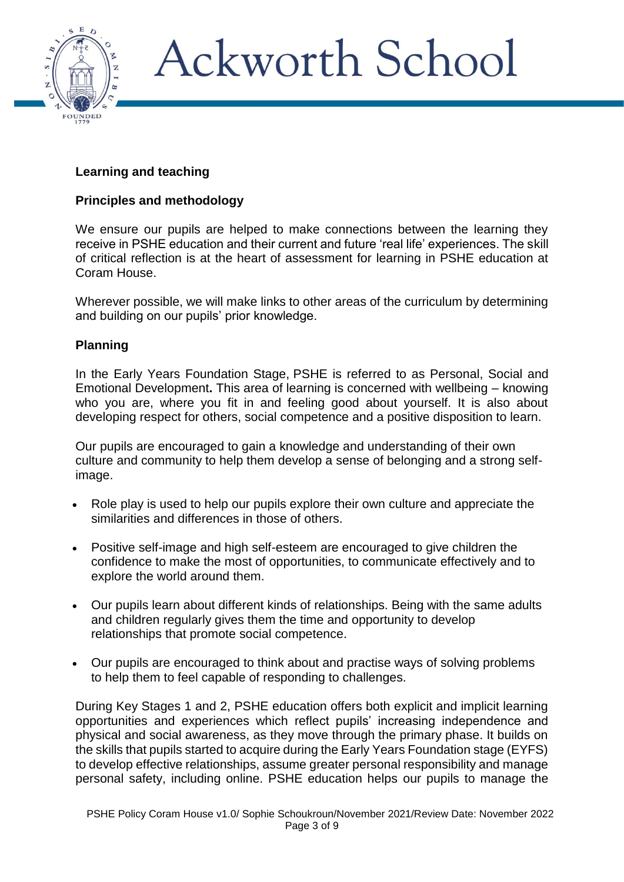

## **Learning and teaching**

### **Principles and methodology**

We ensure our pupils are helped to make connections between the learning they receive in PSHE education and their current and future 'real life' experiences. The skill of critical reflection is at the heart of assessment for learning in PSHE education at Coram House.

Wherever possible, we will make links to other areas of the curriculum by determining and building on our pupils' prior knowledge.

### **Planning**

In the Early Years Foundation Stage, PSHE is referred to as Personal, Social and Emotional Development**.** This area of learning is concerned with wellbeing – knowing who you are, where you fit in and feeling good about yourself. It is also about developing respect for others, social competence and a positive disposition to learn.

Our pupils are encouraged to gain a knowledge and understanding of their own culture and community to help them develop a sense of belonging and a strong selfimage.

- Role play is used to help our pupils explore their own culture and appreciate the similarities and differences in those of others.
- Positive self-image and high self-esteem are encouraged to give children the confidence to make the most of opportunities, to communicate effectively and to explore the world around them.
- Our pupils learn about different kinds of relationships. Being with the same adults and children regularly gives them the time and opportunity to develop relationships that promote social competence.
- Our pupils are encouraged to think about and practise ways of solving problems to help them to feel capable of responding to challenges.

During Key Stages 1 and 2, PSHE education offers both explicit and implicit learning opportunities and experiences which reflect pupils' increasing independence and physical and social awareness, as they move through the primary phase. It builds on the skills that pupils started to acquire during the Early Years Foundation stage (EYFS) to develop effective relationships, assume greater personal responsibility and manage personal safety, including online. PSHE education helps our pupils to manage the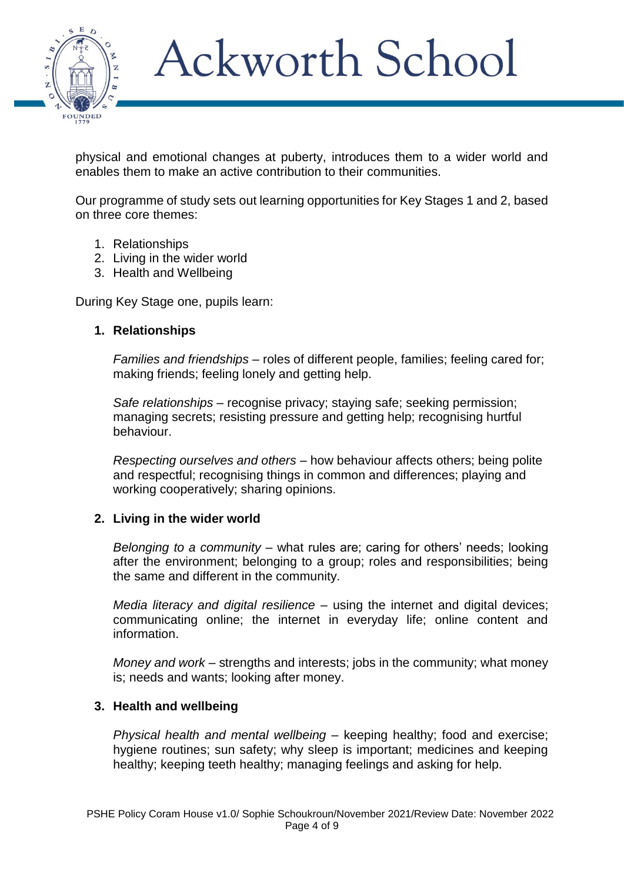

physical and emotional changes at puberty, introduces them to a wider world and enables them to make an active contribution to their communities.

Our programme of study sets out learning opportunities for Key Stages 1 and 2, based on three core themes:

- 1. Relationships
- 2. Living in the wider world
- 3. Health and Wellbeing

During Key Stage one, pupils learn:

## **1. Relationships**

*Families and friendships* – roles of different people, families; feeling cared for; making friends; feeling lonely and getting help.

*Safe relationships* – recognise privacy; staying safe; seeking permission; managing secrets; resisting pressure and getting help; recognising hurtful behaviour.

*Respecting ourselves and others* – how behaviour affects others; being polite and respectful; recognising things in common and differences; playing and working cooperatively; sharing opinions.

### **2. Living in the wider world**

*Belonging to a community* – what rules are; caring for others' needs; looking after the environment; belonging to a group; roles and responsibilities; being the same and different in the community.

*Media literacy and digital resilience* – using the internet and digital devices; communicating online; the internet in everyday life; online content and information.

*Money and work* – strengths and interests; jobs in the community; what money is; needs and wants; looking after money.

## **3. Health and wellbeing**

*Physical health and mental wellbeing* – keeping healthy; food and exercise; hygiene routines; sun safety; why sleep is important; medicines and keeping healthy; keeping teeth healthy; managing feelings and asking for help.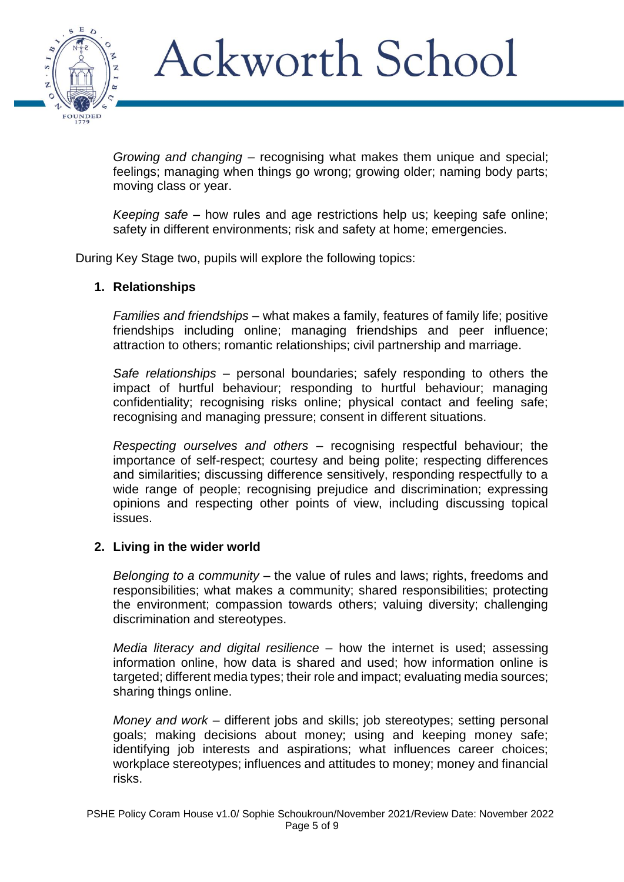

*Growing and changing* – recognising what makes them unique and special; feelings; managing when things go wrong; growing older; naming body parts; moving class or year.

*Keeping safe* – how rules and age restrictions help us; keeping safe online; safety in different environments; risk and safety at home; emergencies.

During Key Stage two, pupils will explore the following topics:

## **1. Relationships**

*Families and friendships* – what makes a family, features of family life; positive friendships including online; managing friendships and peer influence; attraction to others; romantic relationships; civil partnership and marriage.

*Safe relationships* – personal boundaries; safely responding to others the impact of hurtful behaviour; responding to hurtful behaviour; managing confidentiality; recognising risks online; physical contact and feeling safe; recognising and managing pressure; consent in different situations.

*Respecting ourselves and others* – recognising respectful behaviour; the importance of self-respect; courtesy and being polite; respecting differences and similarities; discussing difference sensitively, responding respectfully to a wide range of people; recognising prejudice and discrimination; expressing opinions and respecting other points of view, including discussing topical issues.

### **2. Living in the wider world**

*Belonging to a community* – the value of rules and laws; rights, freedoms and responsibilities; what makes a community; shared responsibilities; protecting the environment; compassion towards others; valuing diversity; challenging discrimination and stereotypes.

*Media literacy and digital resilience* – how the internet is used; assessing information online, how data is shared and used; how information online is targeted; different media types; their role and impact; evaluating media sources; sharing things online.

*Money and work* – different jobs and skills; job stereotypes; setting personal goals; making decisions about money; using and keeping money safe; identifying job interests and aspirations; what influences career choices; workplace stereotypes; influences and attitudes to money; money and financial risks.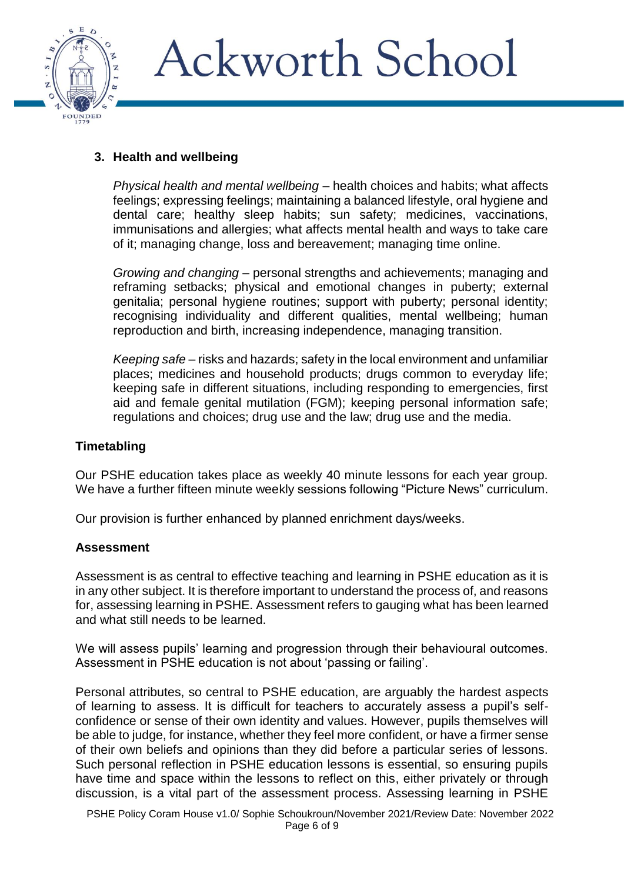

## **3. Health and wellbeing**

*Physical health and mental wellbeing* – health choices and habits; what affects feelings; expressing feelings; maintaining a balanced lifestyle, oral hygiene and dental care; healthy sleep habits; sun safety; medicines, vaccinations, immunisations and allergies; what affects mental health and ways to take care of it; managing change, loss and bereavement; managing time online.

*Growing and changing* – personal strengths and achievements; managing and reframing setbacks; physical and emotional changes in puberty; external genitalia; personal hygiene routines; support with puberty; personal identity; recognising individuality and different qualities, mental wellbeing; human reproduction and birth, increasing independence, managing transition.

*Keeping safe* – risks and hazards; safety in the local environment and unfamiliar places; medicines and household products; drugs common to everyday life; keeping safe in different situations, including responding to emergencies, first aid and female genital mutilation (FGM); keeping personal information safe; regulations and choices; drug use and the law; drug use and the media.

## **Timetabling**

Our PSHE education takes place as weekly 40 minute lessons for each year group. We have a further fifteen minute weekly sessions following "Picture News" curriculum.

Our provision is further enhanced by planned enrichment days/weeks.

## **Assessment**

Assessment is as central to effective teaching and learning in PSHE education as it is in any other subject. It is therefore important to understand the process of, and reasons for, assessing learning in PSHE. Assessment refers to gauging what has been learned and what still needs to be learned.

We will assess pupils' learning and progression through their behavioural outcomes. Assessment in PSHE education is not about 'passing or failing'.

Personal attributes, so central to PSHE education, are arguably the hardest aspects of learning to assess. It is difficult for teachers to accurately assess a pupil's selfconfidence or sense of their own identity and values. However, pupils themselves will be able to judge, for instance, whether they feel more confident, or have a firmer sense of their own beliefs and opinions than they did before a particular series of lessons. Such personal reflection in PSHE education lessons is essential, so ensuring pupils have time and space within the lessons to reflect on this, either privately or through discussion, is a vital part of the assessment process. Assessing learning in PSHE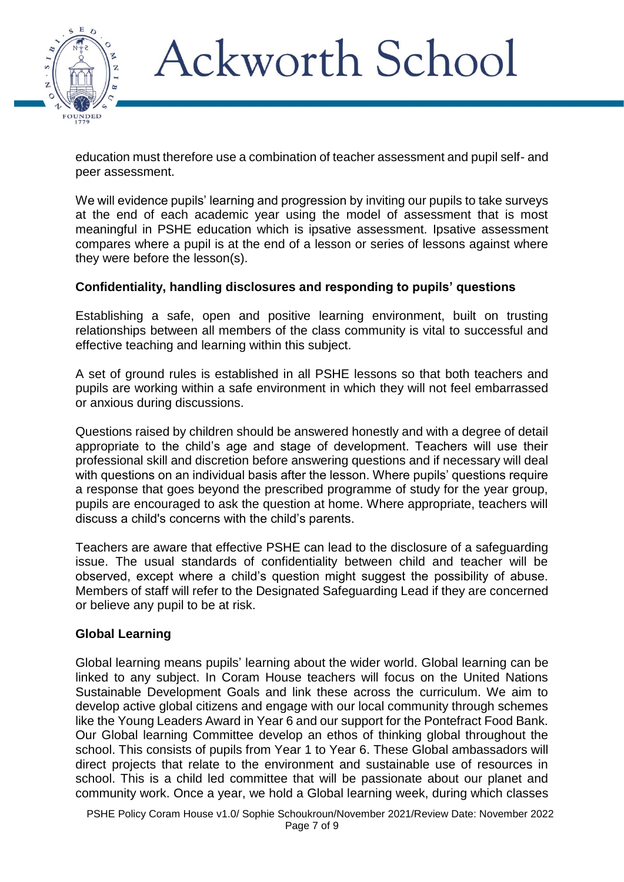

education must therefore use a combination of teacher assessment and pupil self- and peer assessment.

We will evidence pupils' learning and progression by inviting our pupils to take surveys at the end of each academic year using the model of assessment that is most meaningful in PSHE education which is ipsative assessment. Ipsative assessment compares where a pupil is at the end of a lesson or series of lessons against where they were before the lesson(s).

## **Confidentiality, handling disclosures and responding to pupils' questions**

Establishing a safe, open and positive learning environment, built on trusting relationships between all members of the class community is vital to successful and effective teaching and learning within this subject.

A set of ground rules is established in all PSHE lessons so that both teachers and pupils are working within a safe environment in which they will not feel embarrassed or anxious during discussions.

Questions raised by children should be answered honestly and with a degree of detail appropriate to the child's age and stage of development. Teachers will use their professional skill and discretion before answering questions and if necessary will deal with questions on an individual basis after the lesson. Where pupils' questions require a response that goes beyond the prescribed programme of study for the year group, pupils are encouraged to ask the question at home. Where appropriate, teachers will discuss a child's concerns with the child's parents.

Teachers are aware that effective PSHE can lead to the disclosure of a safeguarding issue. The usual standards of confidentiality between child and teacher will be observed, except where a child's question might suggest the possibility of abuse. Members of staff will refer to the Designated Safeguarding Lead if they are concerned or believe any pupil to be at risk.

## **Global Learning**

Global learning means pupils' learning about the wider world. Global learning can be linked to any subject. In Coram House teachers will focus on the United Nations Sustainable Development Goals and link these across the curriculum. We aim to develop active global citizens and engage with our local community through schemes like the Young Leaders Award in Year 6 and our support for the Pontefract Food Bank. Our Global learning Committee develop an ethos of thinking global throughout the school. This consists of pupils from Year 1 to Year 6. These Global ambassadors will direct projects that relate to the environment and sustainable use of resources in school. This is a child led committee that will be passionate about our planet and community work. Once a year, we hold a Global learning week, during which classes

PSHE Policy Coram House v1.0/ Sophie Schoukroun/November 2021/Review Date: November 2022 Page 7 of 9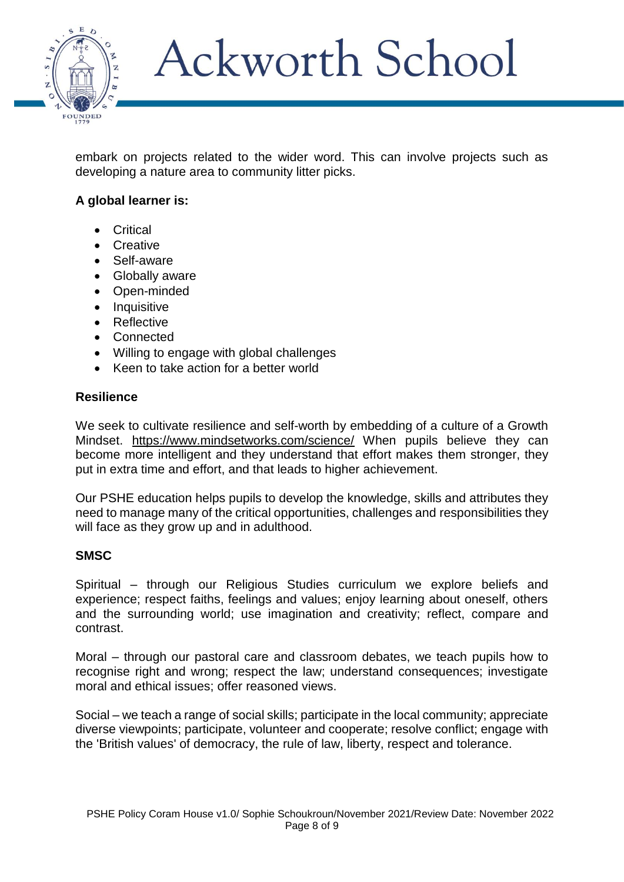

embark on projects related to the wider word. This can involve projects such as developing a nature area to community litter picks.

## **A global learner is:**

- Critical
- **Creative**
- Self-aware
- Globally aware
- Open-minded
- Inquisitive
- Reflective
- Connected
- Willing to engage with global challenges
- Keen to take action for a better world

### **Resilience**

We seek to cultivate resilience and self-worth by embedding of a culture of a Growth Mindset. <https://www.mindsetworks.com/science/> When pupils believe they can become more intelligent and they understand that effort makes them stronger, they put in extra time and effort, and that leads to higher achievement.

Our PSHE education helps pupils to develop the knowledge, skills and attributes they need to manage many of the critical opportunities, challenges and responsibilities they will face as they grow up and in adulthood.

### **SMSC**

Spiritual – through our Religious Studies curriculum we explore beliefs and experience; respect faiths, feelings and values; enjoy learning about oneself, others and the surrounding world; use imagination and creativity; reflect, compare and contrast.

Moral – through our pastoral care and classroom debates, we teach pupils how to recognise right and wrong; respect the law; understand consequences; investigate moral and ethical issues; offer reasoned views.

Social – we teach a range of social skills; participate in the local community; appreciate diverse viewpoints; participate, volunteer and cooperate; resolve conflict; engage with the ['British values'](http://www.doingsmsc.org.uk/british-values) of democracy, the rule of law, liberty, respect and tolerance.